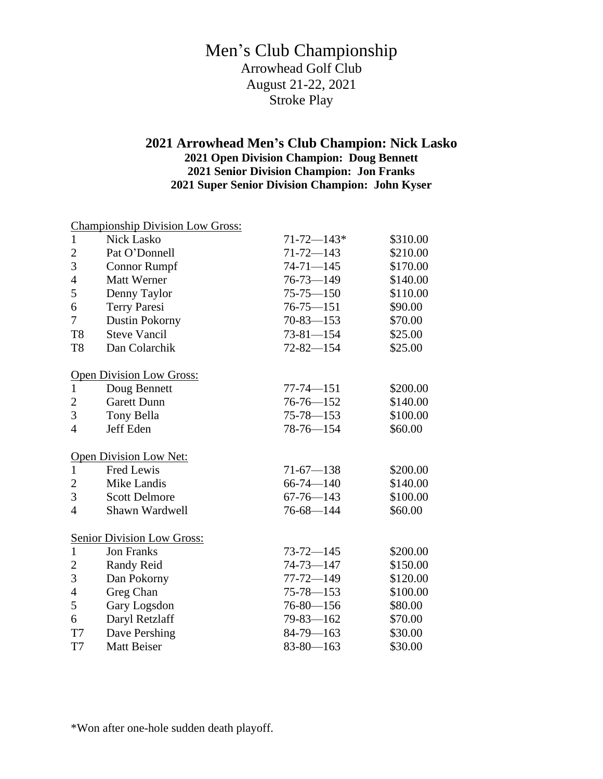## Men's Club Championship Arrowhead Golf Club August 21-22, 2021 Stroke Play

## **2021 Arrowhead Men's Club Champion: Nick Lasko 2021 Open Division Champion: Doug Bennett 2021 Senior Division Champion: Jon Franks 2021 Super Senior Division Champion: John Kyser**

|                | <b>Championship Division Low Gross:</b> |                  |          |
|----------------|-----------------------------------------|------------------|----------|
| 1              | <b>Nick Lasko</b>                       | $71 - 72 - 143*$ | \$310.00 |
| $\overline{c}$ | Pat O'Donnell                           | $71 - 72 - 143$  | \$210.00 |
| 3              | <b>Connor Rumpf</b>                     | $74 - 71 - 145$  | \$170.00 |
| 4              | <b>Matt Werner</b>                      | $76 - 73 - 149$  | \$140.00 |
| 5              | Denny Taylor                            | $75 - 75 - 150$  | \$110.00 |
| 6              | <b>Terry Paresi</b>                     | $76 - 75 - 151$  | \$90.00  |
| 7              | Dustin Pokorny                          | $70 - 83 - 153$  | \$70.00  |
| T <sub>8</sub> | <b>Steve Vancil</b>                     | $73 - 81 - 154$  | \$25.00  |
| T <sub>8</sub> | Dan Colarchik                           | $72 - 82 - 154$  | \$25.00  |
|                | Open Division Low Gross:                |                  |          |
| $\mathbf{1}$   | Doug Bennett                            | $77 - 74 - 151$  | \$200.00 |
| $\overline{c}$ | <b>Garett Dunn</b>                      | $76 - 76 - 152$  | \$140.00 |
| 3              | Tony Bella                              | $75 - 78 - 153$  | \$100.00 |
| $\overline{4}$ | Jeff Eden                               | $78 - 76 - 154$  | \$60.00  |
|                | Open Division Low Net:                  |                  |          |
| $\mathbf{1}$   | Fred Lewis                              | $71-67 - 138$    | \$200.00 |
| $\overline{c}$ | Mike Landis                             | $66 - 74 - 140$  | \$140.00 |
| 3              | <b>Scott Delmore</b>                    | $67 - 76 - 143$  | \$100.00 |
| $\overline{4}$ | Shawn Wardwell                          | $76 - 68 - 144$  | \$60.00  |
|                | <b>Senior Division Low Gross:</b>       |                  |          |
| $\mathbf{1}$   | <b>Jon Franks</b>                       | $73 - 72 - 145$  | \$200.00 |
| $\overline{c}$ | Randy Reid                              | $74 - 73 - 147$  | \$150.00 |
| 3              | Dan Pokorny                             | $77 - 72 - 149$  | \$120.00 |
| $\overline{4}$ | Greg Chan                               | $75 - 78 - 153$  | \$100.00 |
| 5              | Gary Logsdon                            | $76 - 80 - 156$  | \$80.00  |
| 6              | Daryl Retzlaff                          | $79 - 83 - 162$  | \$70.00  |
| T7             | Dave Pershing                           | $84-79-163$      | \$30.00  |
| T7             | Matt Beiser                             | $83 - 80 - 163$  | \$30.00  |

\*Won after one-hole sudden death playoff.